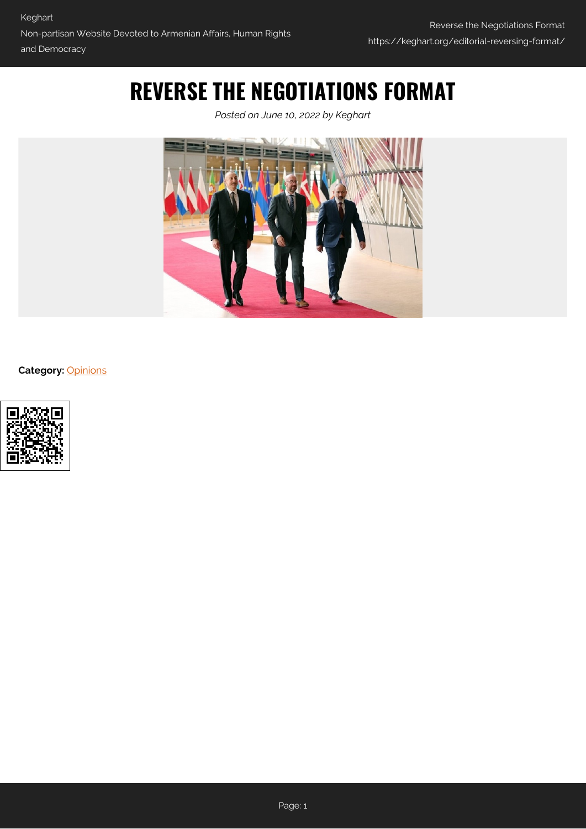# **REVERSE THE NEGOTIATIONS FORMAT**

*Posted on June 10, 2022 by Keghart*



**Category:** [Opinions](https://keghart.org/category/opinions/)

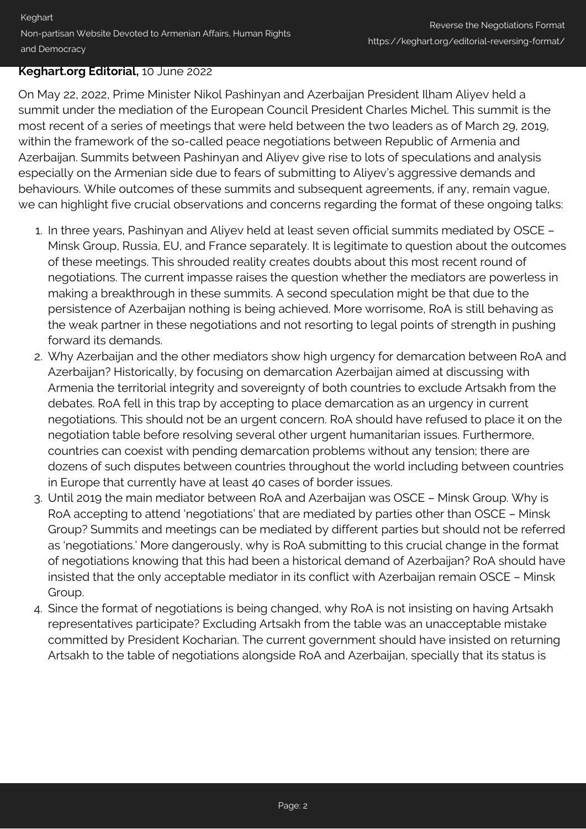#### **Keghart.org Editorial,** 10 June 2022

On May 22, 2022, Prime Minister Nikol Pashinyan and Azerbaijan President Ilham Aliyev held a summit under the mediation of the European Council President Charles Michel. This summit is the most recent of a series of meetings that were held between the two leaders as of March 29, 2019, within the framework of the so-called peace negotiations between Republic of Armenia and Azerbaijan. Summits between Pashinyan and Aliyev give rise to lots of speculations and analysis especially on the Armenian side due to fears of submitting to Aliyev's aggressive demands and behaviours. While outcomes of these summits and subsequent agreements, if any, remain vague, we can highlight five crucial observations and concerns regarding the format of these ongoing talks:

- 1. In three years, Pashinyan and Aliyev held at least seven official summits mediated by OSCE Minsk Group, Russia, EU, and France separately. It is legitimate to question about the outcomes of these meetings. This shrouded reality creates doubts about this most recent round of negotiations. The current impasse raises the question whether the mediators are powerless in making a breakthrough in these summits. A second speculation might be that due to the persistence of Azerbaijan nothing is being achieved. More worrisome, RoA is still behaving as the weak partner in these negotiations and not resorting to legal points of strength in pushing forward its demands.
- 2. Why Azerbaijan and the other mediators show high urgency for demarcation between RoA and Azerbaijan? Historically, by focusing on demarcation Azerbaijan aimed at discussing with Armenia the territorial integrity and sovereignty of both countries to exclude Artsakh from the debates. RoA fell in this trap by accepting to place demarcation as an urgency in current negotiations. This should not be an urgent concern. RoA should have refused to place it on the negotiation table before resolving several other urgent humanitarian issues. Furthermore, countries can coexist with pending demarcation problems without any tension; there are dozens of such disputes between countries throughout the world including between countries in Europe that currently have at least 40 cases of border issues.
- 3. Until 2019 the main mediator between RoA and Azerbaijan was OSCE Minsk Group. Why is RoA accepting to attend 'negotiations' that are mediated by parties other than OSCE – Minsk Group? Summits and meetings can be mediated by different parties but should not be referred as 'negotiations.' More dangerously, why is RoA submitting to this crucial change in the format of negotiations knowing that this had been a historical demand of Azerbaijan? RoA should have insisted that the only acceptable mediator in its conflict with Azerbaijan remain OSCE – Minsk Group.
- 4. Since the format of negotiations is being changed, why RoA is not insisting on having Artsakh representatives participate? Excluding Artsakh from the table was an unacceptable mistake committed by President Kocharian. The current government should have insisted on returning Artsakh to the table of negotiations alongside RoA and Azerbaijan, specially that its status is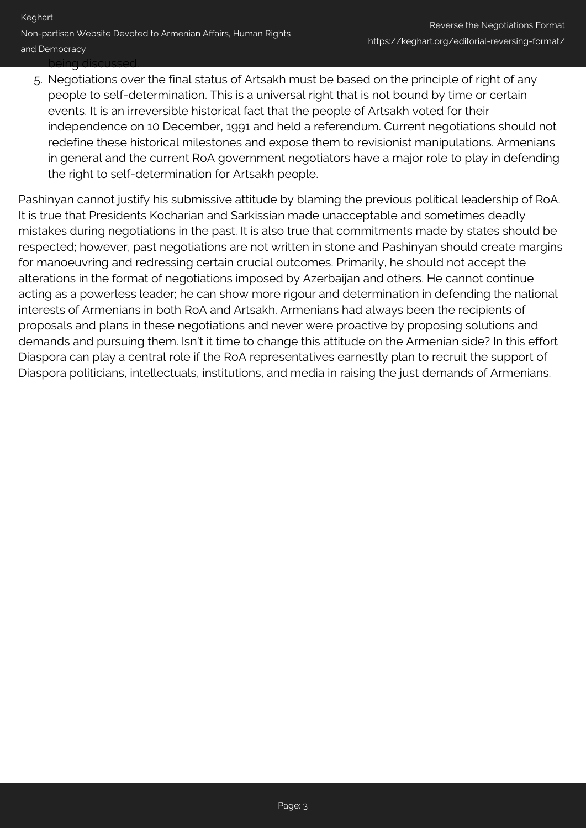5. Negotiations over the final status of Artsakh must be based on the principle of right of any people to self-determination. This is a universal right that is not bound by time or certain events. It is an irreversible historical fact that the people of Artsakh voted for their independence on 10 December, 1991 and held a referendum. Current negotiations should not redefine these historical milestones and expose them to revisionist manipulations. Armenians in general and the current RoA government negotiators have a major role to play in defending the right to self-determination for Artsakh people.

Pashinyan cannot justify his submissive attitude by blaming the previous political leadership of RoA. It is true that Presidents Kocharian and Sarkissian made unacceptable and sometimes deadly mistakes during negotiations in the past. It is also true that commitments made by states should be respected; however, past negotiations are not written in stone and Pashinyan should create margins for manoeuvring and redressing certain crucial outcomes. Primarily, he should not accept the alterations in the format of negotiations imposed by Azerbaijan and others. He cannot continue acting as a powerless leader; he can show more rigour and determination in defending the national interests of Armenians in both RoA and Artsakh. Armenians had always been the recipients of proposals and plans in these negotiations and never were proactive by proposing solutions and demands and pursuing them. Isn't it time to change this attitude on the Armenian side? In this effort Diaspora can play a central role if the RoA representatives earnestly plan to recruit the support of Diaspora politicians, intellectuals, institutions, and media in raising the just demands of Armenians.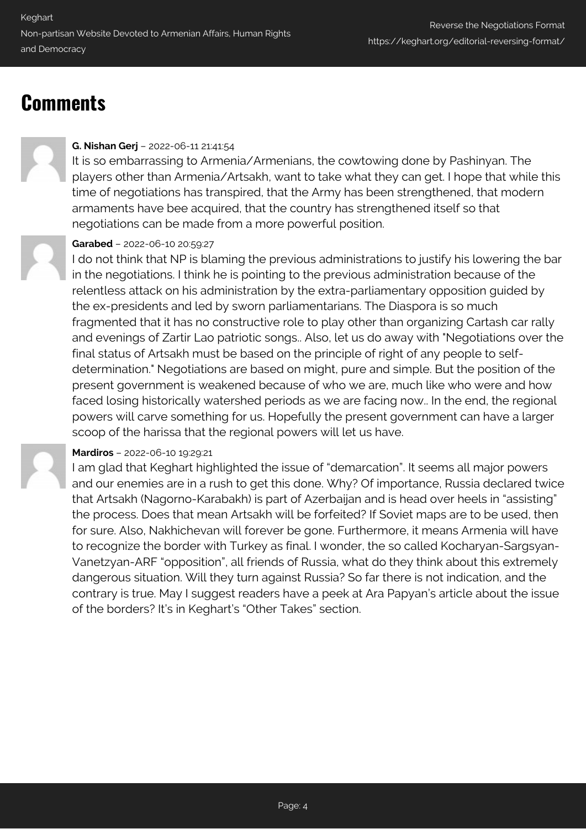## **Comments**

### **G. Nishan Gerj** – 2022-06-11 21:41:54

It is so embarrassing to Armenia/Armenians, the cowtowing done by Pashinyan. The players other than Armenia/Artsakh, want to take what they can get. I hope that while this time of negotiations has transpired, that the Army has been strengthened, that modern armaments have bee acquired, that the country has strengthened itself so that negotiations can be made from a more powerful position.

## **Garabed** – 2022-06-10 20:59:27

I do not think that NP is blaming the previous administrations to justify his lowering the bar in the negotiations. I think he is pointing to the previous administration because of the relentless attack on his administration by the extra-parliamentary opposition guided by the ex-presidents and led by sworn parliamentarians. The Diaspora is so much fragmented that it has no constructive role to play other than organizing Cartash car rally and evenings of Zartir Lao patriotic songs.. Also, let us do away with "Negotiations over the final status of Artsakh must be based on the principle of right of any people to selfdetermination." Negotiations are based on might, pure and simple. But the position of the present government is weakened because of who we are, much like who were and how faced losing historically watershed periods as we are facing now.. In the end, the regional powers will carve something for us. Hopefully the present government can have a larger scoop of the harissa that the regional powers will let us have.

#### **Mardiros** – 2022-06-10 19:29:21

I am glad that Keghart highlighted the issue of "demarcation". It seems all major powers and our enemies are in a rush to get this done. Why? Of importance, Russia declared twice that Artsakh (Nagorno-Karabakh) is part of Azerbaijan and is head over heels in "assisting" the process. Does that mean Artsakh will be forfeited? If Soviet maps are to be used, then for sure. Also, Nakhichevan will forever be gone. Furthermore, it means Armenia will have to recognize the border with Turkey as final. I wonder, the so called Kocharyan-Sargsyan-Vanetzyan-ARF "opposition", all friends of Russia, what do they think about this extremely dangerous situation. Will they turn against Russia? So far there is not indication, and the contrary is true. May I suggest readers have a peek at Ara Papyan's article about the issue of the borders? It's in Keghart's "Other Takes" section.